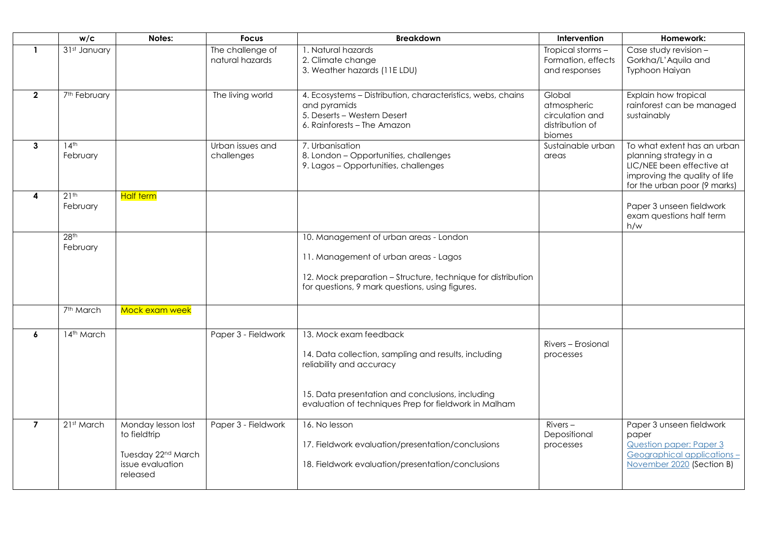|                | w/c                          | Notes:                                                                                               | <b>Focus</b>                        | <b>Breakdown</b>                                                                                                                                                                                                        | Intervention                                                          | Homework:                                                                                                                                           |
|----------------|------------------------------|------------------------------------------------------------------------------------------------------|-------------------------------------|-------------------------------------------------------------------------------------------------------------------------------------------------------------------------------------------------------------------------|-----------------------------------------------------------------------|-----------------------------------------------------------------------------------------------------------------------------------------------------|
| $\mathbf{1}$   | 31st January                 |                                                                                                      | The challenge of<br>natural hazards | 1. Natural hazards<br>2. Climate change<br>3. Weather hazards (11E LDU)                                                                                                                                                 | Tropical storms -<br>Formation, effects<br>and responses              | Case study revision -<br>Gorkha/L'Aquila and<br>Typhoon Haiyan                                                                                      |
| $\mathbf{2}$   | 7 <sup>th</sup> February     |                                                                                                      | The living world                    | 4. Ecosystems - Distribution, characteristics, webs, chains<br>and pyramids<br>5. Deserts - Western Desert<br>6. Rainforests - The Amazon                                                                               | Global<br>atmospheric<br>circulation and<br>distribution of<br>biomes | Explain how tropical<br>rainforest can be managed<br>sustainably                                                                                    |
| $\mathbf{3}$   | 14 <sup>th</sup><br>February |                                                                                                      | Urban issues and<br>challenges      | 7. Urbanisation<br>8. London - Opportunities, challenges<br>9. Lagos - Opportunities, challenges                                                                                                                        | Sustainable urban<br>areas                                            | To what extent has an urban<br>planning strategy in a<br>LIC/NEE been effective at<br>improving the quality of life<br>for the urban poor (9 marks) |
| 4              | $21^{th}$<br>February        | <b>Half term</b>                                                                                     |                                     |                                                                                                                                                                                                                         |                                                                       | Paper 3 unseen fieldwork<br>exam questions half term<br>h/w                                                                                         |
|                | 28 <sup>th</sup><br>February |                                                                                                      |                                     | 10. Management of urban areas - London<br>11. Management of urban areas - Lagos<br>12. Mock preparation - Structure, technique for distribution<br>for questions, 9 mark questions, using figures.                      |                                                                       |                                                                                                                                                     |
|                | 7 <sup>th</sup> March        | Mock exam week                                                                                       |                                     |                                                                                                                                                                                                                         |                                                                       |                                                                                                                                                     |
| 6              | 14th March                   |                                                                                                      | Paper 3 - Fieldwork                 | 13. Mock exam feedback<br>14. Data collection, sampling and results, including<br>reliability and accuracy<br>15. Data presentation and conclusions, including<br>evaluation of techniques Prep for fieldwork in Malham | Rivers - Erosional<br>processes                                       |                                                                                                                                                     |
| $\overline{7}$ | 21st March                   | Monday lesson lost<br>to fieldtrip<br>Tuesday 22 <sup>nd</sup> March<br>issue evaluation<br>released | Paper 3 - Fieldwork                 | 16. No lesson<br>17. Fieldwork evaluation/presentation/conclusions<br>18. Fieldwork evaluation/presentation/conclusions                                                                                                 | $Rivers -$<br>Depositional<br>processes                               | Paper 3 unseen fieldwork<br>paper<br>Question paper: Paper 3<br>Geographical applications-<br>November 2020 (Section B)                             |